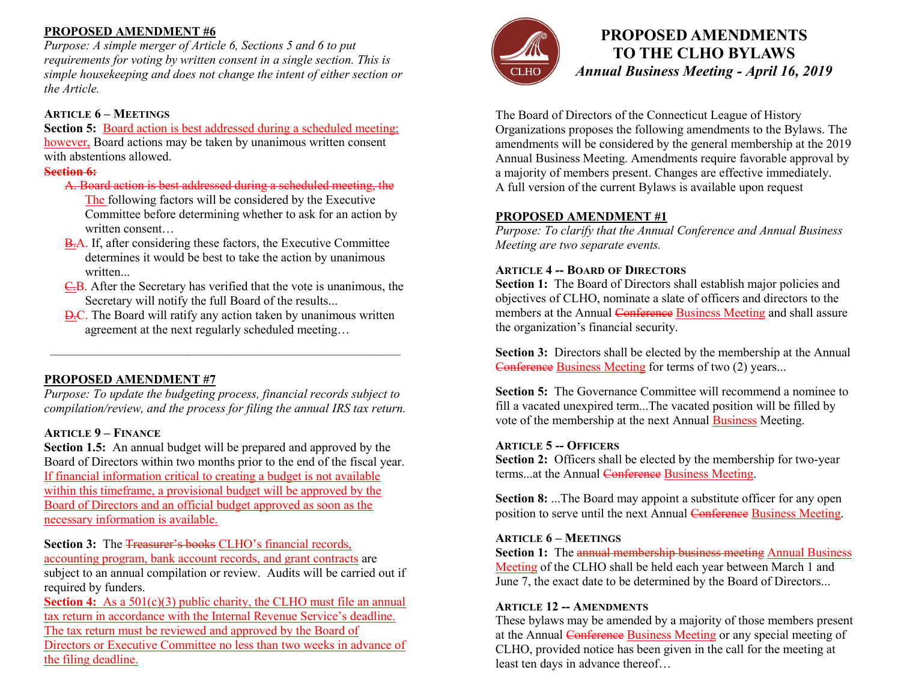## **PROPOSED AMENDMENT #6**

*Purpose: A simple merger of Article 6, Sections 5 and 6 to put requirements for voting by written consent in a single section. This is simple housekeeping and does not change the intent of either section or the Article.* 

#### **ARTICLE 6 – MEETINGS**

**Section 5:** Board action is best addressed during a scheduled meeting; however, Board actions may be taken by unanimous written consent with abstentions allowed.

#### **Section 6:**

A. Board action is best addressed during a scheduled meeting, the

The following factors will be considered by the Executive Committee before determining whether to ask for an action by written consent

- B.A. If, after considering these factors, the Executive Committee determines it would be best to take the action by unanimous written...
- C.B. After the Secretary has verified that the vote is unanimous, the Secretary will notify the full Board of the results...
- D.C. The Board will ratify any action taken by unanimous written agreement at the next regularly scheduled meeting…

## **PROPOSED AMENDMENT #7**

*Purpose: To update the budgeting process, financial records subject to compilation/review, and the process for filing the annual IRS tax return.* 

————————————————————————————

### **ARTICLE 9 – FINANCE**

**Section 1.5:** An annual budget will be prepared and approved by the Board of Directors within two months prior to the end of the fiscal year. If financial information critical to creating a budget is not available within this timeframe, a provisional budget will be approved by the Board of Directors and an official budget approved as soon as the necessary information is available.

**Section 3:** The Treasurer's books CLHO's financial records, accounting program, bank account records, and grant contracts are subject to an annual compilation or review. Audits will be carried out if required by funders.

**Section 4:** As a  $501(c)(3)$  public charity, the CLHO must file an annual tax return in accordance with the Internal Revenue Service's deadline. The tax return must be reviewed and approved by the Board of Directors or Executive Committee no less than two weeks in advance of the filing deadline.



# **PROPOSED AMENDMENTS TO THE CLHO BYLAWS** *Annual Business Meeting - April 16, 2019*

The Board of Directors of the Connecticut League of History Organizations proposes the following amendments to the Bylaws. The amendments will be considered by the general membership at the 2019 Annual Business Meeting. Amendments require favorable approval by a majority of members present. Changes are effective immediately. A full version of the current Bylaws is available upon request

#### **PROPOSED AMENDMENT #1**

*Purpose: To clarify that the Annual Conference and Annual Business Meeting are two separate events.* 

#### **ARTICLE 4 -- BOARD OF DIRECTORS**

**Section 1:** The Board of Directors shall establish major policies and objectives of CLHO, nominate a slate of officers and directors to the members at the Annual Conference Business Meeting and shall assure the organization's financial security.

**Section 3:** Directors shall be elected by the membership at the Annual Conference Business Meeting for terms of two (2) years...

**Section 5:** The Governance Committee will recommend a nominee to fill a vacated unexpired term...The vacated position will be filled by vote of the membership at the next Annual Business Meeting.

#### **ARTICLE 5 -- OFFICERS**

**Section 2:** Officers shall be elected by the membership for two-year terms...at the Annual Conference Business Meeting.

**Section 8:** ...The Board may appoint a substitute officer for any open position to serve until the next Annual Conference Business Meeting.

#### **ARTICLE 6 – MEETINGS**

**Section 1:** The annual membership business meeting Annual Business Meeting of the CLHO shall be held each year between March 1 and June 7, the exact date to be determined by the Board of Directors...

#### **ARTICLE 12 -- AMENDMENTS**

These bylaws may be amended by a majority of those members present at the Annual Conference Business Meeting or any special meeting of CLHO, provided notice has been given in the call for the meeting at least ten days in advance thereof…